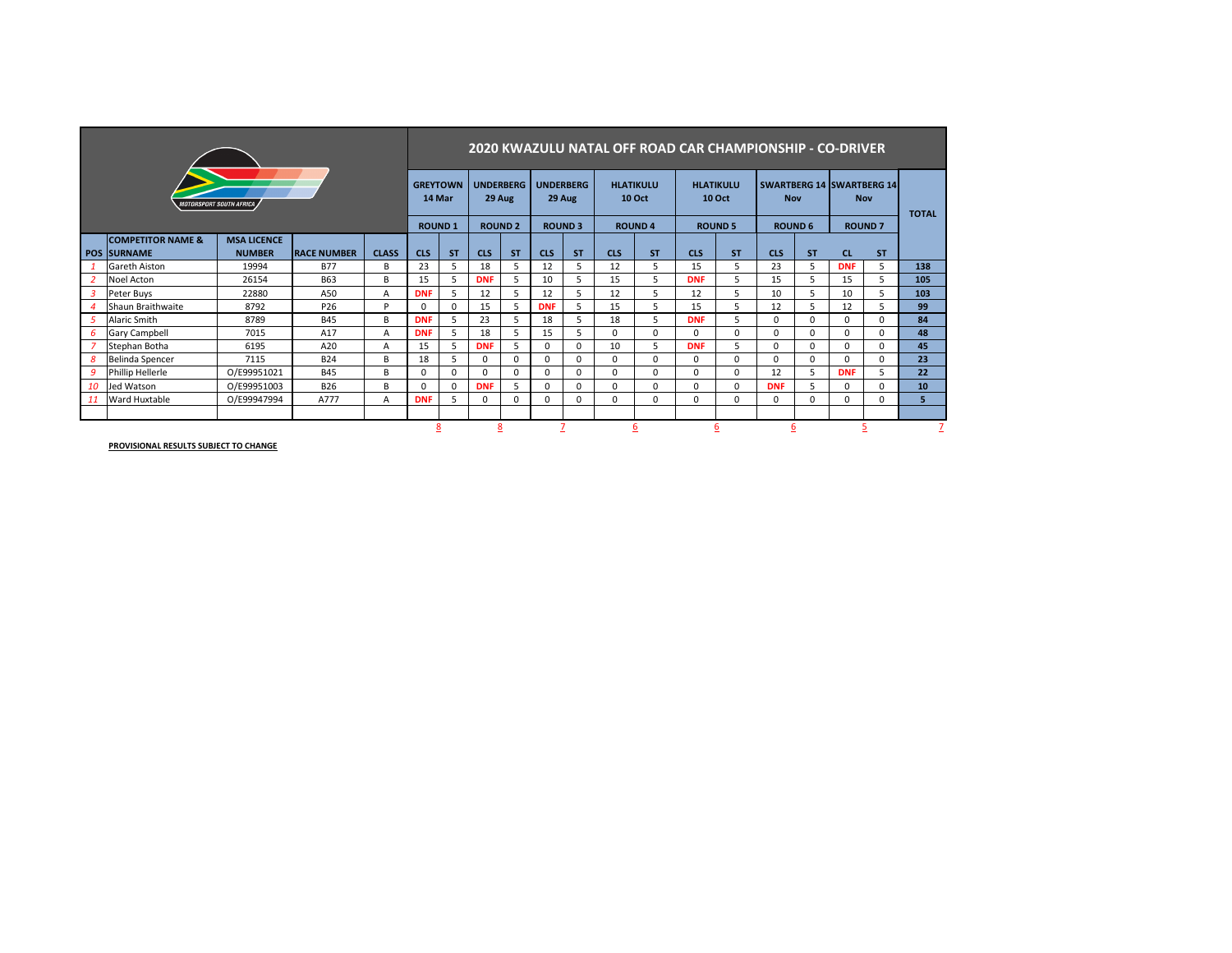|                          |                              |                    |                    |              |            | 2020 KWAZULU NATAL OFF ROAD CAR CHAMPIONSHIP - CO-DRIVER |                            |                          |                            |               |                                   |               |                                   |                |            |                |                                                |                |              |  |
|--------------------------|------------------------------|--------------------|--------------------|--------------|------------|----------------------------------------------------------|----------------------------|--------------------------|----------------------------|---------------|-----------------------------------|---------------|-----------------------------------|----------------|------------|----------------|------------------------------------------------|----------------|--------------|--|
| MOTORSPORT SOUTH AFRICA  |                              |                    |                    |              |            |                                                          | <b>UNDERBERG</b><br>29 Aug |                          | <b>UNDERBERG</b><br>29 Aug |               | <b>HLATIKULU</b><br><b>10 Oct</b> |               | <b>HLATIKULU</b><br><b>10 Oct</b> |                | <b>Nov</b> |                | <b>SWARTBERG 14 SWARTBERG 14</b><br><b>Nov</b> |                | <b>TOTAL</b> |  |
|                          |                              |                    |                    |              |            | <b>ROUND1</b>                                            |                            | <b>ROUND<sub>2</sub></b> |                            | <b>ROUND3</b> |                                   | <b>ROUND4</b> |                                   | <b>ROUND 5</b> |            | <b>ROUND 6</b> |                                                | <b>ROUND 7</b> |              |  |
|                          | <b>COMPETITOR NAME &amp;</b> | <b>MSA LICENCE</b> |                    |              |            |                                                          |                            |                          |                            |               |                                   |               |                                   |                |            |                |                                                |                |              |  |
|                          | <b>POS SURNAME</b>           | <b>NUMBER</b>      | <b>RACE NUMBER</b> | <b>CLASS</b> | <b>CLS</b> | <b>ST</b>                                                | <b>CLS</b>                 | <b>ST</b>                | <b>CLS</b>                 | <b>ST</b>     | <b>CLS</b>                        | <b>ST</b>     | <b>CLS</b>                        | <b>ST</b>      | <b>CLS</b> | <b>ST</b>      | <b>CL</b>                                      | <b>ST</b>      |              |  |
|                          | Gareth Aiston                | 19994              | <b>B77</b>         | В            | 23         | 5                                                        | 18                         |                          | 12                         | 5             | 12                                |               | 15                                | 5              | 23         | 5              | <b>DNF</b>                                     | 5              | 138          |  |
| $\overline{2}$           | Noel Acton                   | 26154              | B <sub>63</sub>    | B            | 15         | 5                                                        | <b>DNF</b>                 |                          | 10                         | 5.            | 15                                | 5             | <b>DNF</b>                        | 5              | 15         | 5              | 15                                             | 5              | 105          |  |
| 3                        | Peter Buys                   | 22880              | A50                | А            | <b>DNF</b> | 5                                                        | 12                         |                          | 12                         | 5             | 12                                |               | 12                                | 5              | 10         | 5              | 10                                             | 5              | 103          |  |
| $\boldsymbol{\varDelta}$ | Shaun Braithwaite            | 8792               | P <sub>26</sub>    | P            | $\Omega$   | $\Omega$                                                 | 15                         |                          | <b>DNF</b>                 | 5             | 15                                | 5             | 15                                | 5              | 12         | 5              | 12                                             | 5              | 99           |  |
| 5                        | Alaric Smith                 | 8789               | <b>B45</b>         | B            | <b>DNF</b> | 5                                                        | 23                         |                          | 18                         | 5             | 18                                | 5             | <b>DNF</b>                        | 5              | 0          | $\Omega$       | $\Omega$                                       | $\Omega$       | 84           |  |
| 6                        | <b>Gary Campbell</b>         | 7015               | A17                | А            | <b>DNF</b> | 5                                                        | 18                         |                          | 15                         | 5             | $\Omega$                          | $\Omega$      | $\Omega$                          | $\Omega$       | 0          | 0              | $\Omega$                                       | $\Omega$       | 48           |  |
|                          | Stephan Botha                | 6195               | A20                | А            | 15         | 5.                                                       | <b>DNF</b>                 | 5                        | $\Omega$                   | $\Omega$      | 10                                | 5             | <b>DNF</b>                        | 5              | 0          | 0              | $\Omega$                                       | $\Omega$       | 45           |  |
| 8                        | Belinda Spencer              | 7115               | <b>B24</b>         | В            | 18         | 5                                                        | 0                          | $\Omega$                 | $\Omega$                   | $\Omega$      | $\Omega$                          | $\Omega$      | $\Omega$                          | $\Omega$       | 0          | 0              | $\Omega$                                       | $\Omega$       | 23           |  |
| 9                        | Phillip Hellerle             | O/E99951021        | <b>B45</b>         | В            | $\Omega$   | $\Omega$                                                 | $\Omega$                   | O                        | $\Omega$                   | 0             | $\Omega$                          | $\Omega$      | $\Omega$                          | $\Omega$       | 12         | 5              | <b>DNF</b>                                     | 5              | 22           |  |
| 10                       | Jed Watson                   | O/E99951003        | <b>B26</b>         | B            | $\Omega$   | $\Omega$                                                 | <b>DNF</b>                 |                          | $\Omega$                   | $\Omega$      | $\Omega$                          | $\Omega$      | $\Omega$                          | $\Omega$       | <b>DNF</b> | 5              | $\Omega$                                       | $\Omega$       | 10           |  |
| 11                       | Ward Huxtable                | O/E99947994        | A777               | А            | <b>DNF</b> | 5                                                        | 0                          | $\Omega$                 | $\Omega$                   | $\Omega$      | $\Omega$                          | $\Omega$      | $\Omega$                          | $\Omega$       | 0          | 0              | $\Omega$                                       | $\Omega$       | 5            |  |
|                          |                              |                    |                    |              |            |                                                          |                            |                          |                            |               |                                   |               |                                   |                |            |                |                                                |                |              |  |
|                          |                              | o                  | ŏ                  | 8            |            |                                                          |                            |                          | 6                          |               |                                   | 6             |                                   |                |            |                |                                                |                |              |  |

÷

**PROVISIONAL RESULTS SUBJECT TO CHANGE**

п